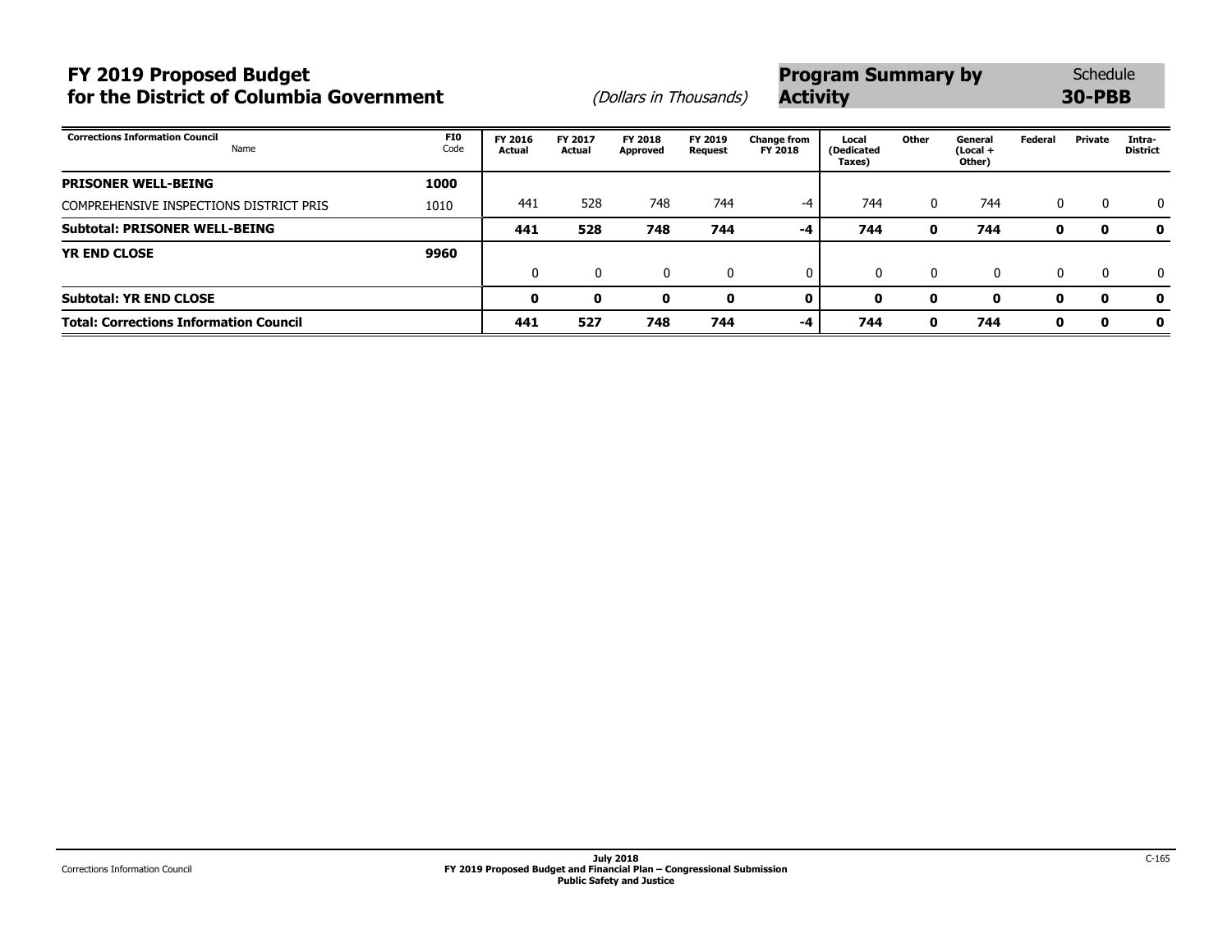# **FY 2019 Proposed Budget** Schedule **Program Summary by** Schedule **for the District of Columbia Government** (Dollars in Thousands) **Activity Activity 30**

| <b>SUICUUL</b> |  |
|----------------|--|
| 0-PBB          |  |

| <b>Corrections Information Council</b><br>Name | <b>FIO</b><br>Code | FY 2016<br>Actual | FY 2017<br>Actual | <b>FY 2018</b><br>Approved | FY 2019<br>Request | <b>Change from</b><br>FY 2018 | Local<br>(Dedicated<br>Taxes) | Other    | General<br>$(Local +$<br>Other) | Federal      | Private     | Intra-<br><b>District</b> |
|------------------------------------------------|--------------------|-------------------|-------------------|----------------------------|--------------------|-------------------------------|-------------------------------|----------|---------------------------------|--------------|-------------|---------------------------|
| <b>PRISONER WELL-BEING</b>                     | 1000               |                   |                   |                            |                    |                               |                               |          |                                 |              |             |                           |
| COMPREHENSIVE INSPECTIONS DISTRICT PRIS        | 1010               | 441               | 528               | 748                        | 744                | -4                            | 744                           | $\Omega$ | 744                             | $\mathbf{0}$ | - 0         | $\Omega$                  |
| <b>Subtotal: PRISONER WELL-BEING</b>           |                    | 441               | 528               | 748                        | 744                | $-4$                          | 744                           | o        | 744                             | 0            | $\mathbf o$ | 0                         |
| <b>YR END CLOSE</b>                            | 9960               |                   |                   |                            |                    |                               |                               |          |                                 |              |             |                           |
|                                                |                    | 0                 | 0                 | 0                          | 0                  | $\mathbf{0}$                  |                               | $\Omega$ | $\mathbf{0}$                    | $\mathbf{0}$ | - 0         | $\mathbf{0}$              |
| <b>Subtotal: YR END CLOSE</b>                  |                    | 0                 | o                 | 0                          | 0                  | 0                             | 0                             | o        | 0                               |              | 0           | 0                         |
| <b>Total: Corrections Information Council</b>  |                    | 441               | 527               | 748                        | 744                | $-4$                          | 744                           | 0        | 744                             | 0            | 0           | 0                         |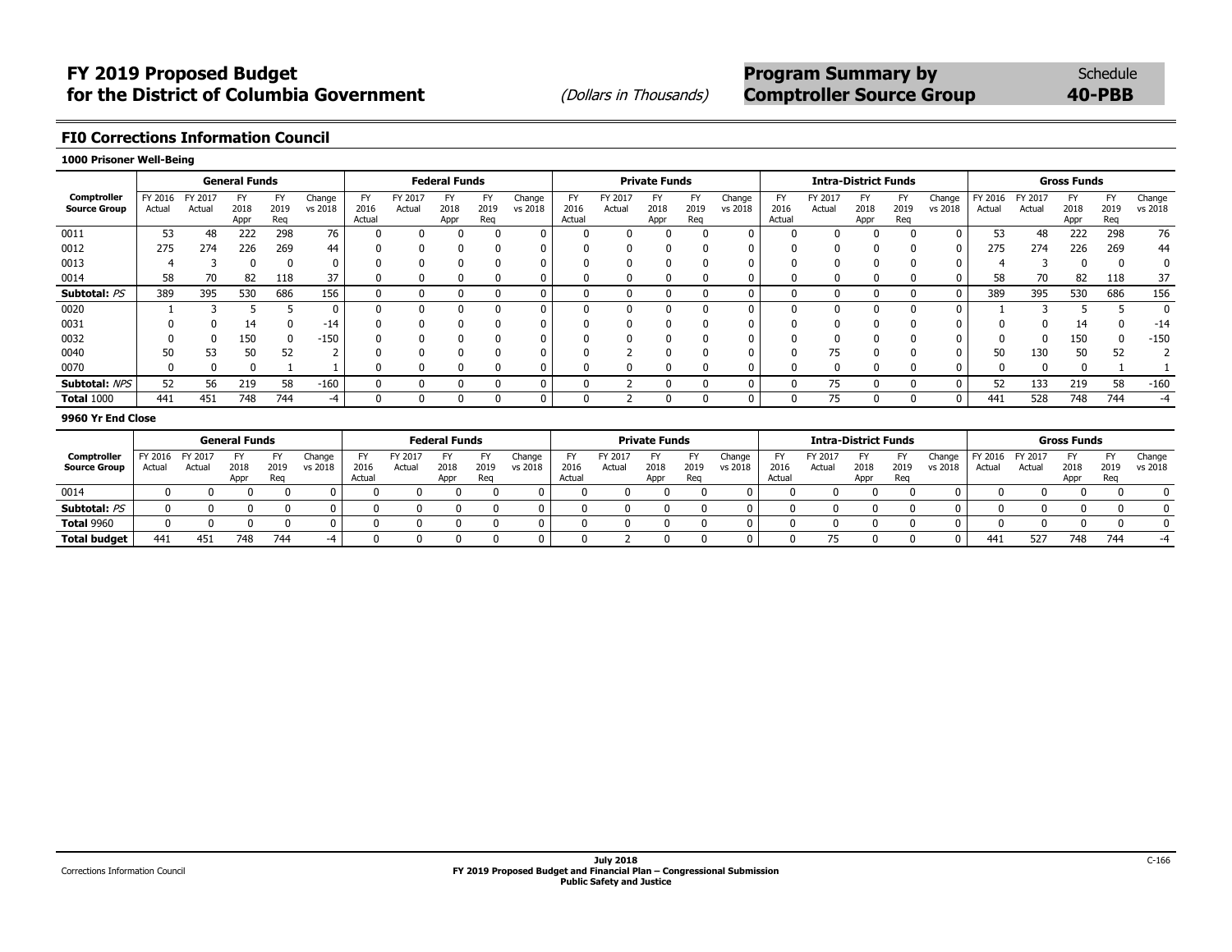### **FI0 Corrections Information Council**

#### **1000 Prisoner Well-Being**

|                                    |                   |                   | <b>General Funds</b>      |                   |                   |                      |                   | <b>Federal Funds</b> |                   |                   |                      |                   | <b>Private Funds</b> |             |                   |                             |                   | <b>Intra-District Funds</b> |                          |                   |                   |                  | <b>Gross Funds</b> |                          |                   |
|------------------------------------|-------------------|-------------------|---------------------------|-------------------|-------------------|----------------------|-------------------|----------------------|-------------------|-------------------|----------------------|-------------------|----------------------|-------------|-------------------|-----------------------------|-------------------|-----------------------------|--------------------------|-------------------|-------------------|------------------|--------------------|--------------------------|-------------------|
| Comptroller<br><b>Source Group</b> | FY 2016<br>Actual | FY 2017<br>Actual | <b>FY</b><br>2018<br>Appr | EV<br>2019<br>Reg | Change<br>vs 2018 | FY<br>2016<br>Actual | FY 2017<br>Actual | FY<br>2018<br>Appr   | F)<br>2019<br>Reg | Change<br>vs 2018 | FY<br>2016<br>Actual | FY 2017<br>Actual | FY<br>2018<br>Appr   | 2019<br>Reg | Change<br>vs 2018 | <b>FY</b><br>2016<br>Actual | FY 2017<br>Actual | FY<br>2018<br>Appr          | <b>FY</b><br>2019<br>Reg | Change<br>vs 2018 | FY 2016<br>Actual | FY 2017<br>Actua | 2018<br>Appr       | <b>FY</b><br>2019<br>Reg | Change<br>vs 2018 |
| 0011                               | 53                | 48                | 222                       | 298               | 76                |                      |                   |                      | 0                 | $\mathbf 0$       |                      | <sup>n</sup>      |                      |             | 0                 |                             |                   |                             |                          |                   | 53                | 48               | 222                | 298                      | 76                |
| 0012                               | 275               | 274               | 226                       | 269               | 44                | 0                    |                   | 0                    | 0                 | 0                 |                      |                   |                      |             | 0                 |                             | O                 | $\Omega$                    |                          |                   | 275               | 274              | 226                | 269                      | 44                |
| 0013                               |                   |                   |                           |                   | 0                 |                      |                   |                      |                   | 0                 |                      |                   |                      |             | 0                 |                             |                   |                             |                          |                   |                   |                  |                    |                          | 0                 |
| 0014                               | 58                | 70                | 82                        | 118               | 37                |                      |                   |                      |                   | 0                 |                      |                   |                      |             | 0                 |                             |                   |                             |                          |                   | 58                | 70               | 82                 | 118                      | 37                |
| Subtotal: PS                       | 389               | 395               | 530                       | 686               | 156               | 0                    |                   |                      |                   | 0                 |                      | 0                 |                      |             | 0                 | $\Omega$                    | O                 |                             | 0                        |                   | 389               | 395              | 530                | 686                      | 156               |
| 0020                               |                   |                   |                           |                   | 0                 | 0                    |                   |                      |                   | $\mathbf 0$       |                      | $\Omega$          |                      |             | 0                 |                             | $\Omega$          |                             | $\Omega$                 |                   |                   |                  |                    |                          |                   |
| 0031                               |                   |                   | 14                        |                   | $-14$             |                      |                   |                      |                   | 0                 |                      |                   |                      |             | 0                 |                             |                   |                             |                          |                   |                   |                  | 14                 |                          | $-14$             |
| 0032                               |                   |                   | 150                       |                   | $-150$            |                      |                   |                      |                   | 0                 |                      |                   |                      |             |                   |                             |                   |                             |                          |                   |                   |                  | 150                |                          | $-150$            |
| 0040                               | 50                | 53                |                           | 52                |                   |                      |                   |                      |                   | 0                 |                      |                   |                      |             | 0                 |                             | 75                |                             |                          |                   |                   | 130              | 50                 | 52                       |                   |
| 0070                               |                   |                   |                           |                   |                   | υ                    |                   |                      |                   | 0                 |                      |                   |                      |             | 0                 |                             | 0                 |                             |                          |                   |                   |                  |                    |                          |                   |
| Subtotal: NPS                      | 52                | 56                | 219                       | 58                | $-160$            | 0                    |                   |                      |                   | $\mathbf 0$       |                      |                   |                      |             | 0                 |                             | 75                |                             |                          |                   | 52                | 133              | 219                | 58                       | $-160$            |
| <b>Total 1000</b>                  | 441               | 451               | 748                       | 744               | -4                | 0                    |                   | υ                    | U                 | 0                 |                      |                   |                      |             | 0                 | 0                           | 75                | 0                           | 0                        |                   | 441               | 528              | 748                | 744                      | -4                |
|                                    |                   |                   |                           |                   |                   |                      |                   |                      |                   |                   |                      |                   |                      |             |                   |                             |                   |                             |                          |                   |                   |                  |                    |                          |                   |

#### **9960 Yr End Close**

|                     |         |         | <b>General Funds</b> |             |         |                |         | <b>Federal Funds</b> |             |         |                |         | <b>Private Funds</b> |             |         |                | <b>Intra-District Funds</b> |              |             |         |         |         | <b>Gross Funds</b> |             |         |
|---------------------|---------|---------|----------------------|-------------|---------|----------------|---------|----------------------|-------------|---------|----------------|---------|----------------------|-------------|---------|----------------|-----------------------------|--------------|-------------|---------|---------|---------|--------------------|-------------|---------|
| Comptroller         | FY 2016 | FY 2017 |                      |             | Change  |                | FY 2017 |                      |             | Change  | <b>FY</b>      | FY 201. |                      | ᇊ           | Change  | <b>FY</b>      | FY 201.                     |              |             | Change  | FY 2016 | FY 2017 | FY.                |             | Change  |
| <b>Source Group</b> | Actual  | Actual  | 2018<br>Appr         | 2019<br>Reg | vs 2018 | 2016<br>Actual | Actual  | 2018<br>Appr         | 2019<br>Reo | vs 2018 | 2016<br>Actual | Actual  | 2018<br>Appr         | 2019<br>Reg | vs 2018 | 2016<br>Actual | Actual                      | 2018<br>Appr | 2019<br>Reg | vs 2018 | Actual  | Actua   | 2018<br>Appr       | 2019<br>Reg | vs 2018 |
| 0014                |         |         |                      |             |         |                |         |                      |             |         |                |         |                      |             |         |                |                             |              |             |         |         |         |                    |             |         |
| Subtotal: PS        |         |         |                      |             |         |                |         |                      |             |         |                |         |                      |             |         |                |                             |              |             |         |         |         |                    |             |         |
| <b>Total 9960</b>   |         |         |                      |             |         |                |         |                      |             |         |                |         |                      |             |         |                |                             |              |             |         |         |         |                    |             |         |
| <b>Total budget</b> | 441     |         | 748                  | 744         |         |                |         |                      |             |         |                |         |                      |             |         |                |                             |              |             |         | 441     | 527     | 748                | 744         |         |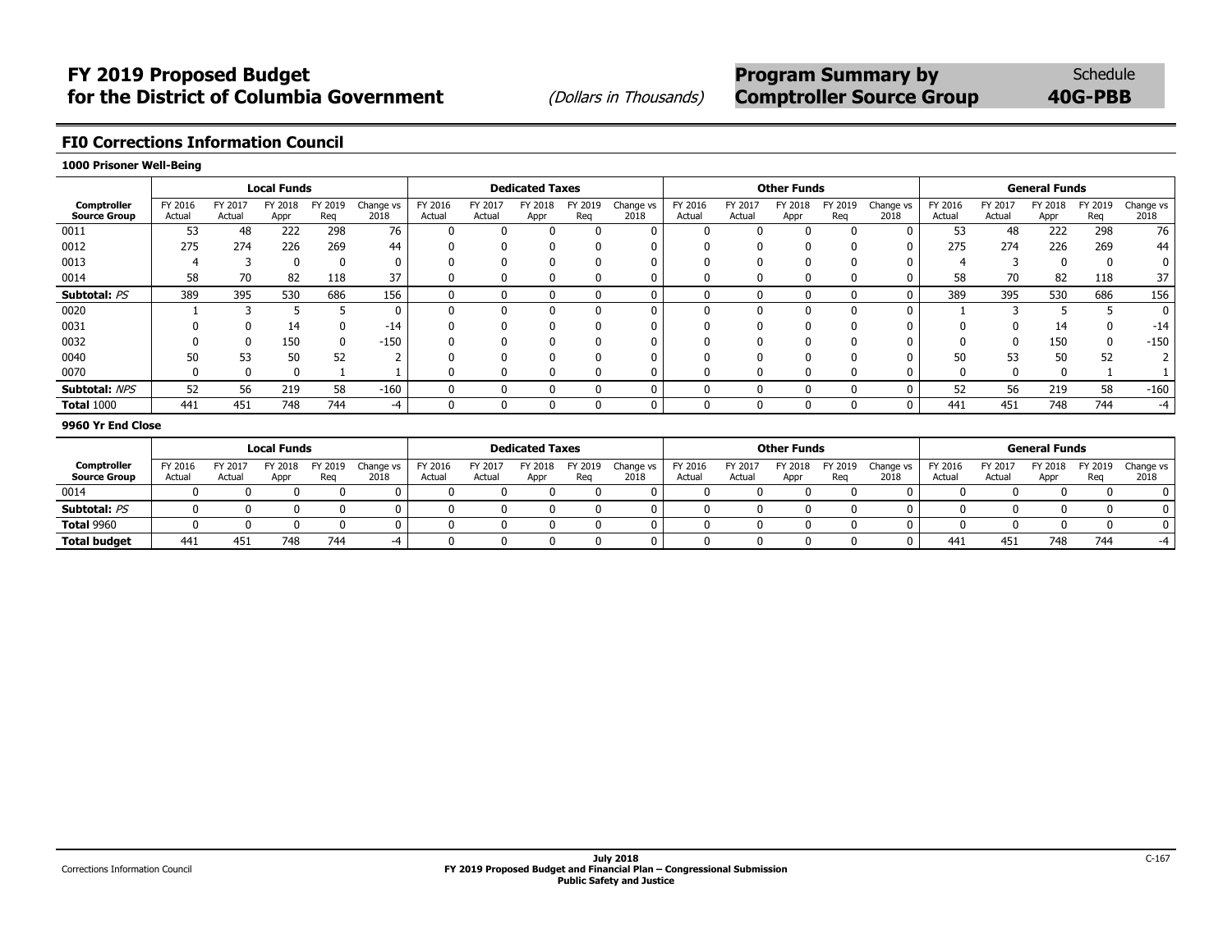## **FI0 Corrections Information Council**

#### **1000 Prisoner Well-Being**

|                                    |                   |                   | <b>Local Funds</b> |                |                   |                   |                   | <b>Dedicated Taxes</b> |               |                   |                   |                   | <b>Other Funds</b> |                |                   |                   |                   | <b>General Funds</b> |                |                   |
|------------------------------------|-------------------|-------------------|--------------------|----------------|-------------------|-------------------|-------------------|------------------------|---------------|-------------------|-------------------|-------------------|--------------------|----------------|-------------------|-------------------|-------------------|----------------------|----------------|-------------------|
| Comptroller<br><b>Source Group</b> | FY 2016<br>Actual | FY 2017<br>Actual | FY 2018<br>Appr    | FY 2019<br>Reg | Change vs<br>2018 | FY 2016<br>Actual | FY 2017<br>Actual | Y 2018<br>Appr         | ' 2019<br>Reg | Change vs<br>2018 | FY 2016<br>Actual | FY 2017<br>Actual | FY 2018<br>Appr    | FY 2019<br>Reg | Change vs<br>2018 | FY 2016<br>Actual | FY 2017<br>Actual | FY 2018<br>Appr      | FY 2019<br>Reg | Change vs<br>2018 |
| 0011                               | 53                | 48                | 222                | 298            | 76                |                   |                   |                        | ŋ             |                   |                   |                   |                    |                |                   | 53                | 48                | 222                  | 298            | 76                |
| 0012                               | 275               | 274               | 226                | 269            | 44                |                   |                   |                        | 0             |                   |                   |                   |                    |                |                   | 275               | 274               | 226                  | 269            | 44                |
| 0013                               |                   |                   |                    |                |                   |                   |                   |                        |               |                   |                   |                   |                    |                |                   |                   |                   |                      | 0              |                   |
| 0014                               | 58                | 70                | 82                 | 118            | 37                |                   |                   |                        | 0             |                   |                   |                   |                    |                |                   | 58                | 70                | 82                   | 118            | 37                |
| Subtotal: PS                       | 389               | 395               | 530                | 686            | 156               |                   |                   |                        | 0             |                   | ŋ                 |                   |                    |                |                   | 389               | 395               | 530                  | 686            | 156               |
| 0020                               |                   |                   |                    |                |                   |                   |                   |                        | $\Omega$      | 0                 |                   |                   |                    |                |                   |                   |                   |                      |                | 0                 |
| 0031                               |                   |                   | 14                 |                | $-14$             |                   |                   |                        | $\Omega$      |                   |                   |                   |                    |                |                   | $\Omega$          |                   | 14                   | $\mathbf{0}$   | -14               |
| 0032                               |                   |                   | 150                |                | $-150$            |                   |                   |                        |               |                   |                   |                   |                    |                |                   |                   |                   | 150                  | 0              | $-150$            |
| 0040                               | 50                | 53                | 50                 | 52             |                   |                   |                   |                        | ŋ             |                   |                   |                   |                    |                |                   | 50                | 53                | 50                   | 52             |                   |
| 0070                               |                   |                   |                    |                |                   |                   |                   |                        | $\Omega$      |                   |                   |                   |                    |                |                   | 0                 |                   |                      |                |                   |
| Subtotal: NPS                      | 52                | 56                | 219                | 58             | $-160$            |                   |                   |                        | $\Omega$      | 0                 | ŋ                 |                   |                    |                |                   | 52                | 56                | 219                  | 58             | $-160$            |
| <b>Total 1000</b>                  | 441               | 451               | 748                | 744            | -4                |                   |                   |                        | 0             | 0                 | 0                 |                   |                    |                |                   | 441               | 451               | 748                  | 744            | -4                |

#### **9960 Yr End Close**

|                     |         |         | <b>Local Funds</b> |         |           |         |         | <b>Dedicated Taxes</b> |      |           |         |         | <b>Other Funds</b> |         |           |         |         | <b>General Funds</b> |         |           |
|---------------------|---------|---------|--------------------|---------|-----------|---------|---------|------------------------|------|-----------|---------|---------|--------------------|---------|-----------|---------|---------|----------------------|---------|-----------|
| Comptroller         | FY 2016 | FY 2017 | FY 2018            | FY 2019 | Change vs | TY 2016 | FY 2017 | FY 2018                | 2019 | Change vs | FY 2016 | FY 2017 | 2018               | FY 2019 | Change vs | FY 2016 | FY 2017 | FY 2018              | FY 2019 | Change vs |
| <b>Source Group</b> | Actual  | Actual  | Appr               | Reg     | 2018      | Actua   | Actual  | Appr                   | Rea  | 2018      | Actual  | Actual  | Appr               | Reg     | 2018      | Actual  | Actual  | Appr                 | Rea     | 2018      |
| 0014                |         |         |                    |         |           |         |         |                        |      |           |         |         |                    |         |           |         |         |                      |         |           |
| Subtotal: PS        |         |         |                    |         |           |         |         |                        |      |           |         |         |                    |         |           |         |         |                      |         | n.        |
| <b>Total 9960</b>   |         |         |                    |         |           |         |         |                        |      |           |         |         |                    |         |           |         |         |                      |         | n         |
| <b>Total budget</b> | 441     | 451     | 748                | 744     | $-4$      |         |         |                        |      |           |         |         |                    |         |           | 441     | 451     | 748                  | 744     | $-4$      |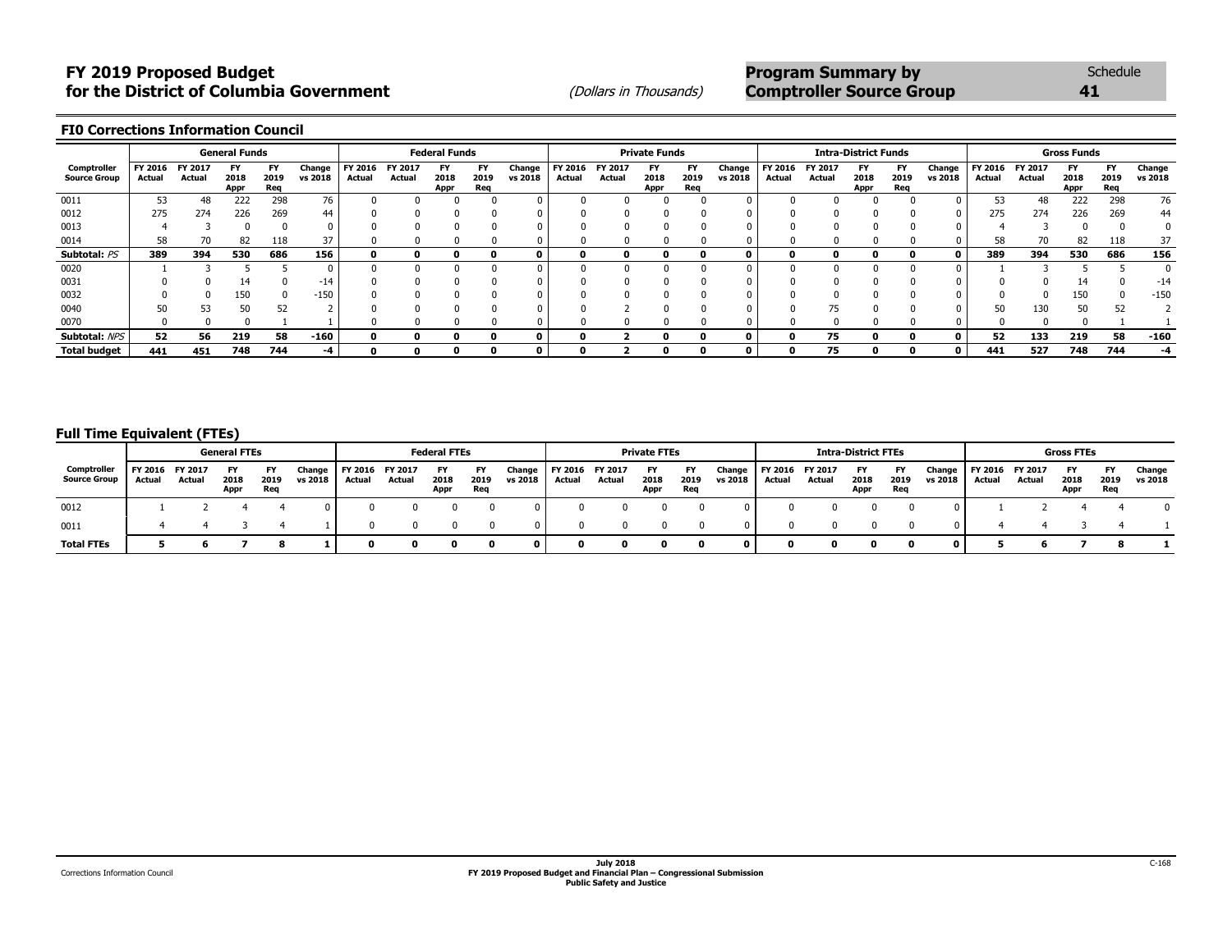## **FY 2019 Proposed Budget**<br> **FY 2019 Proposed Budget**<br> **For the District of Columbia Government Program Summary by** Schedule<br>
(Dollars in Thousands) **Comptroller Source Group for the District of Columbia Government** (*Dollars in Thousands*) **Comptroller Source Group 41 41**

**FI0 Corrections Information Council**

|                                    |                   |                   | <b>General Funds</b> |                          |                   |                   |                   | <b>Federal Funds</b> |                          |                   |                   |                   | <b>Private Funds</b> |                          |                   |                   |                   | <b>Intra-District Funds</b> |                          |                   |                   |                   | <b>Gross Funds</b> |                          |                   |
|------------------------------------|-------------------|-------------------|----------------------|--------------------------|-------------------|-------------------|-------------------|----------------------|--------------------------|-------------------|-------------------|-------------------|----------------------|--------------------------|-------------------|-------------------|-------------------|-----------------------------|--------------------------|-------------------|-------------------|-------------------|--------------------|--------------------------|-------------------|
| Comptroller<br><b>Source Group</b> | FY 2016<br>Actual | FY 2017<br>Actual | FY<br>2018<br>Appr   | <b>FY</b><br>2019<br>Req | Change<br>vs 2018 | FY 2016<br>Actual | FY 2017<br>Actual | FY<br>2018<br>Appr   | <b>FY</b><br>2019<br>Req | Change<br>vs 2018 | FY 2016<br>Actual | FY 2017<br>Actual | FY<br>2018<br>Appr   | <b>FY</b><br>2019<br>Req | Change<br>vs 2018 | FY 2016<br>Actual | FY 2017<br>Actual | 2018<br>Appr                | <b>FY</b><br>2019<br>Req | Change<br>vs 2018 | FY 2016<br>Actual | FY 2017<br>Actual | FY<br>2018<br>Appr | <b>FY</b><br>2019<br>Req | Change<br>vs 2018 |
| 0011                               | 53                |                   | 222                  | 298                      | 76                |                   |                   |                      |                          |                   |                   |                   |                      |                          |                   |                   |                   |                             |                          |                   | 53                |                   | 222                | 298                      | 76                |
| 0012                               | 275               | 274               | 226                  | 269                      | 44                |                   |                   |                      |                          |                   |                   |                   |                      |                          |                   |                   |                   |                             |                          |                   | 275               | 274               | 226                | 269                      | 44                |
| 0013                               |                   |                   |                      |                          |                   |                   |                   |                      |                          |                   |                   |                   |                      |                          |                   |                   |                   |                             |                          |                   |                   |                   |                    |                          |                   |
| 0014                               | 58                |                   | 82                   | 118                      | 37                |                   |                   |                      |                          |                   |                   |                   |                      |                          |                   |                   |                   |                             |                          |                   | 58                |                   | 82                 | 118                      | 37                |
| Subtotal: PS                       | 389               | 394               | 530                  | 686                      | 156               | o                 |                   |                      |                          |                   |                   |                   |                      |                          |                   |                   |                   |                             |                          |                   | 389               | 394               | 530                | 686                      | 156               |
| 0020                               |                   |                   |                      |                          |                   |                   |                   |                      |                          |                   |                   |                   |                      |                          |                   |                   |                   |                             |                          |                   |                   |                   |                    |                          |                   |
| 0031                               |                   |                   | 14                   |                          | -14               |                   |                   |                      |                          |                   |                   |                   |                      |                          |                   |                   |                   |                             |                          |                   |                   |                   |                    |                          | -14               |
| 0032                               |                   |                   | 150                  |                          | $-150$            |                   |                   |                      |                          |                   |                   |                   |                      |                          |                   |                   |                   |                             |                          |                   |                   |                   | 150                |                          | $-150$            |
| 0040                               | 50                | 53                | 50                   | 52                       |                   |                   |                   |                      |                          |                   |                   |                   |                      |                          |                   |                   |                   |                             |                          |                   | 50                | 130               | 50                 | 51                       |                   |
| 0070                               |                   |                   |                      |                          |                   |                   |                   |                      |                          |                   |                   |                   |                      |                          |                   |                   |                   |                             |                          |                   |                   |                   |                    |                          |                   |
| Subtotal: NPS                      | 52                | 56                | 219                  | 58                       | $-160$            |                   |                   |                      |                          | 0                 |                   |                   |                      |                          | 0                 |                   | 75                | n                           | 0                        |                   | 52                | 133               | 219                | 58                       | $-160$            |
| <b>Total budget</b>                | 441               | 451               | 748                  | 744                      | -4                |                   |                   |                      |                          |                   |                   |                   |                      |                          |                   |                   | 75                |                             |                          |                   | 441               | 527               | 748                | 744                      | -4                |

#### **Full Time Equivalent (FTEs)**

|                                    |                           |        | <b>General FTEs</b> |             |                   |                           |        | <b>Federal FTEs</b>       |                   |                   |                   |                          | <b>Private FTEs</b> |                   |                   |                           |        | <b>Intra-District FTEs</b> |                   |                   |                           |        | <b>Gross FTEs</b> |                          |                   |
|------------------------------------|---------------------------|--------|---------------------|-------------|-------------------|---------------------------|--------|---------------------------|-------------------|-------------------|-------------------|--------------------------|---------------------|-------------------|-------------------|---------------------------|--------|----------------------------|-------------------|-------------------|---------------------------|--------|-------------------|--------------------------|-------------------|
| Comptroller<br><b>Source Group</b> | FY 2016 FY 2017<br>Actual | Actual | FY<br>2018<br>Appr  | 2019<br>Req | Change<br>vs 2018 | FY 2016 FY 2017<br>Actual | Actual | <b>FY</b><br>2018<br>Appr | FY<br>2019<br>Req | Change<br>vs 2018 | FY 2016<br>Actual | <b>FY 2017</b><br>Actual | 2018<br>Appr        | FY<br>2019<br>Req | Change<br>vs 2018 | FY 2016 FY 2017<br>Actual | Actual | 2018<br>Appr               | FY<br>2019<br>Req | Change<br>vs 2018 | FY 2016 FY 2017<br>Actual | Actual | 2018<br>Appr      | <b>FY</b><br>2019<br>Req | Change<br>vs 2018 |
| 0012                               |                           |        |                     |             |                   |                           |        |                           |                   |                   |                   |                          |                     |                   |                   |                           |        |                            |                   |                   |                           |        |                   |                          |                   |
| 0011                               |                           |        |                     |             |                   |                           |        |                           |                   |                   |                   |                          |                     |                   |                   |                           |        |                            |                   |                   |                           |        |                   |                          |                   |
| <b>Total FTEs</b>                  |                           |        |                     |             |                   |                           |        |                           |                   |                   |                   |                          |                     |                   |                   |                           |        |                            |                   |                   |                           |        |                   |                          |                   |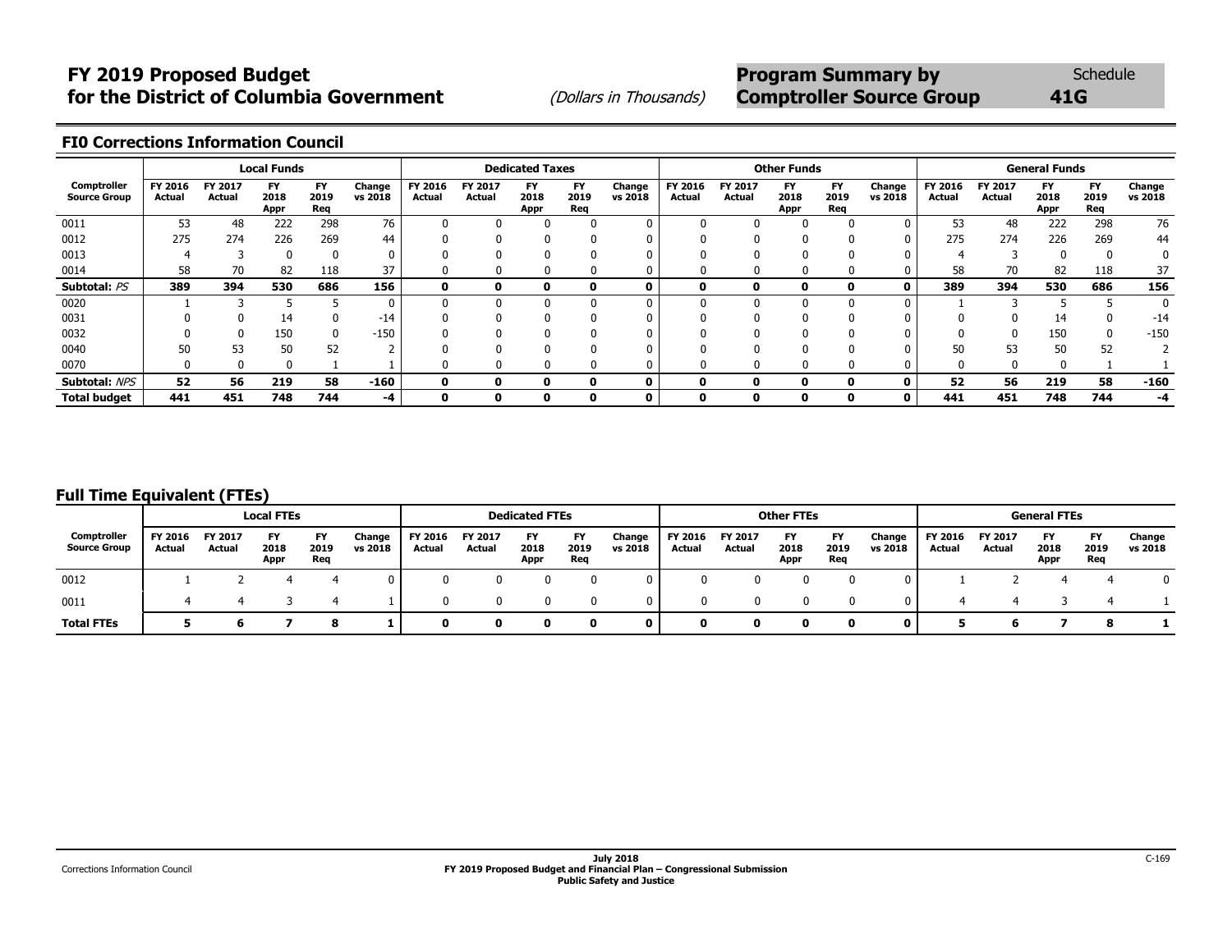# **FY 2019 Proposed Budget** *COL* **<b>Program Summary by** Schedule **for the District of Columbia Government** (Dollars in Thousands) **Comptroller Source Group** 41G

### **FI0 Corrections Information Council**

|                                    |                   |                   | <b>Local Funds</b> |                   |                   |                   |                   | <b>Dedicated Taxes</b>    |                   |                   |                   |                   | <b>Other Funds</b>  |                          |                   |                   |                          | <b>General Funds</b> |                   |                   |
|------------------------------------|-------------------|-------------------|--------------------|-------------------|-------------------|-------------------|-------------------|---------------------------|-------------------|-------------------|-------------------|-------------------|---------------------|--------------------------|-------------------|-------------------|--------------------------|----------------------|-------------------|-------------------|
| Comptroller<br><b>Source Group</b> | FY 2016<br>Actual | FY 2017<br>Actual | FY<br>2018<br>Appr | FY<br>2019<br>Rea | Change<br>vs 2018 | FY 2016<br>Actual | FY 2017<br>Actual | <b>FY</b><br>2018<br>Appr | FY<br>2019<br>Req | Change<br>vs 2018 | FY 2016<br>Actual | FY 2017<br>Actual | FY.<br>2018<br>Appr | <b>FY</b><br>2019<br>Req | Change<br>vs 2018 | FY 2016<br>Actual | FY 2017<br><b>Actual</b> | FY<br>2018<br>Appr   | FY<br>2019<br>Req | Change<br>vs 2018 |
| 0011                               | 53                | 48                | 222                | 298               | 76                |                   | <sup>0</sup>      | 0                         |                   |                   |                   |                   |                     |                          |                   | 53                | 48                       | 222                  | 298               | 76                |
| 0012                               | 275               | 274               | 226                | 269               | 44                |                   |                   |                           |                   |                   |                   |                   |                     |                          | $\Omega$          | 275               | 274                      | 226                  | 269               | 44                |
| 0013                               |                   |                   |                    |                   |                   |                   |                   |                           |                   |                   |                   |                   |                     |                          |                   |                   |                          |                      |                   |                   |
| 0014                               | 58                | 70                | 82                 | 118               | 37                |                   | 0                 | O                         | 0                 |                   |                   |                   | u                   |                          |                   | 58                | 70                       | 82                   | 118               | 37                |
| Subtotal: PS                       | 389               | 394               | 530                | 686               | 156               | 0                 | ŋ                 |                           | 0                 |                   |                   | 0                 | $\mathbf{0}$        | n.                       | 0                 | 389               | 394                      | 530                  | 686               | 156               |
| 0020                               |                   |                   |                    |                   | 0                 |                   |                   |                           |                   |                   |                   |                   |                     |                          |                   |                   |                          |                      |                   |                   |
| 0031                               |                   |                   | 14                 |                   | $-14$             |                   |                   | 0                         |                   |                   |                   |                   |                     |                          |                   | $\Omega$          |                          | 14                   |                   | $-14$             |
| 0032                               |                   |                   | 150                |                   | $-150$            |                   |                   |                           |                   |                   |                   |                   |                     |                          |                   |                   | 0                        | 150                  |                   | $-150$            |
| 0040                               | 50                | 53                | 50                 | 52                |                   |                   |                   |                           |                   |                   |                   |                   |                     |                          |                   | 50                | 53                       | 50                   | 52                |                   |
| 0070                               | 0                 | 0                 | - 0                |                   |                   |                   |                   | o                         | 0                 |                   |                   |                   |                     |                          |                   | $\Omega$          | 0                        | 0                    |                   |                   |
| Subtotal: NPS                      | 52                | 56                | 219                | 58                | $-160$            | $\mathbf{0}$      | 0                 |                           | 0                 |                   |                   |                   | $\mathbf{0}$        | 0                        | 0                 | 52                | 56                       | 219                  | 58                | $-160$            |
| <b>Total budget</b>                | 441               | 451               | 748                | 744               | -4                | 0                 | 0                 | o                         | 0                 |                   | 0                 | 0                 | $\mathbf 0$         | 0                        | 0                 | 441               | 451                      | 748                  | 744               | -4                |

## **Full Time Equivalent (FTEs)**

|                                           |                   |                   | <b>Local FTEs</b>         |                   |                   |                          |                          | <b>Dedicated FTEs</b> |                          |                   |                   |                          | <b>Other FTEs</b> |                   |                   |                   |                   | <b>General FTEs</b>       |                   |                   |
|-------------------------------------------|-------------------|-------------------|---------------------------|-------------------|-------------------|--------------------------|--------------------------|-----------------------|--------------------------|-------------------|-------------------|--------------------------|-------------------|-------------------|-------------------|-------------------|-------------------|---------------------------|-------------------|-------------------|
| <b>Comptroller</b><br><b>Source Group</b> | FY 2016<br>Actual | FY 2017<br>Actual | <b>FY</b><br>2018<br>Appr | FY<br>2019<br>Reg | Change<br>vs 2018 | <b>FY 2016</b><br>Actual | <b>FY 2017</b><br>Actual | FY<br>2018<br>Appr    | <b>FY</b><br>2019<br>Reg | Change<br>vs 2018 | FY 2016<br>Actual | FY 2017<br><b>Actual</b> | 2018<br>Appr      | FY<br>2019<br>Req | Change<br>vs 2018 | FY 2016<br>Actual | FY 2017<br>Actual | <b>FY</b><br>2018<br>Appr | FY<br>2019<br>Reg | Change<br>vs 2018 |
| 0012                                      |                   |                   |                           |                   |                   |                          |                          |                       |                          |                   |                   |                          |                   |                   |                   |                   |                   |                           |                   |                   |
| 0011                                      |                   |                   |                           |                   |                   |                          |                          |                       |                          |                   | n                 |                          |                   |                   |                   |                   |                   |                           |                   |                   |
| <b>Total FTEs</b>                         |                   |                   |                           |                   |                   |                          |                          |                       | n                        |                   | n                 |                          |                   |                   |                   |                   |                   |                           |                   |                   |